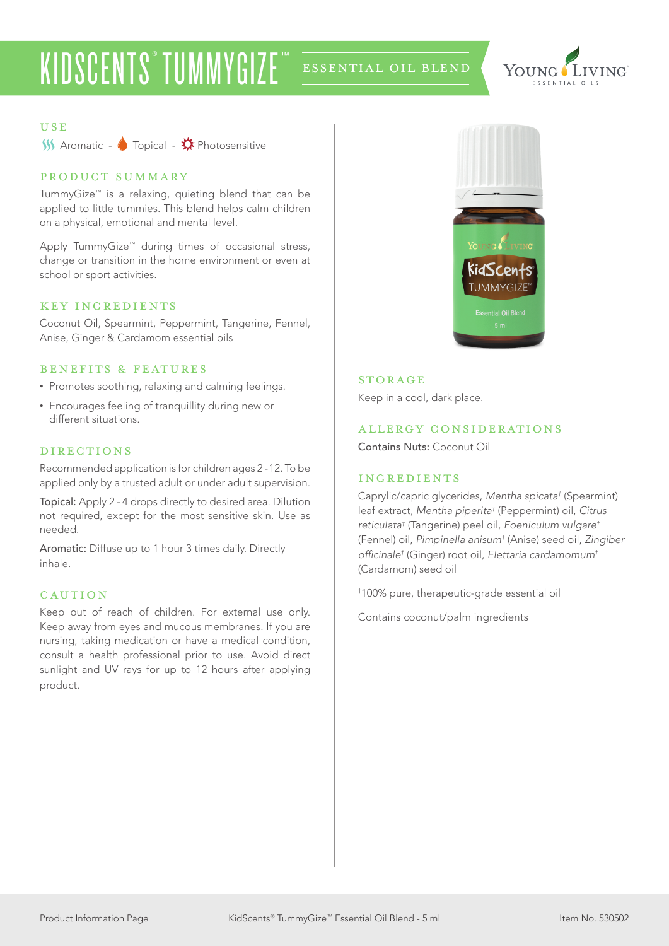# KIDSCENTS® TUMMYGIZE™ ESSENTIAL OIL BLEND



#### USE

 $\overbrace{\phantom{1}}{\mathbf{M}}$  Aromatic -  $\overline{\mathbf{A}}$  Topical -  $\overline{\mathbf{A}}$  Photosensitive

## product summary

TummyGize™ is a relaxing, quieting blend that can be applied to little tummies. This blend helps calm children on a physical, emotional and mental level.

Apply TummyGize™ during times of occasional stress, change or transition in the home environment or even at school or sport activities.

## KEY INGREDIENTS

Coconut Oil, Spearmint, Peppermint, Tangerine, Fennel, Anise, Ginger & Cardamom essential oils

#### benefits & features

- Promotes soothing, relaxing and calming feelings.
- Encourages feeling of tranquillity during new or different situations.

## directions

Recommended application is for children ages 2 -12. To be applied only by a trusted adult or under adult supervision.

Topical: Apply 2 - 4 drops directly to desired area. Dilution not required, except for the most sensitive skin. Use as needed.

Aromatic: Diffuse up to 1 hour 3 times daily. Directly inhale.

#### **CAUTION**

Keep out of reach of children. For external use only. Keep away from eyes and mucous membranes. If you are nursing, taking medication or have a medical condition, consult a health professional prior to use. Avoid direct sunlight and UV rays for up to 12 hours after applying product.



#### **STORAGE**

Keep in a cool, dark place.

#### allergy considerations

Contains Nuts: Coconut Oil

## ingredients

Caprylic/capric glycerides, *Mentha spicata†* (Spearmint) leaf extract, *Mentha piperita†* (Peppermint) oil, *Citrus reticulata†* (Tangerine) peel oil, *Foeniculum vulgare†* (Fennel) oil, *Pimpinella anisum†* (Anise) seed oil, *Zingiber*  officinale*†* (Ginger) root oil, *Elettaria cardamomum†* (Cardamom) seed oil

† 100% pure, therapeutic-grade essential oil

Contains coconut/palm ingredients